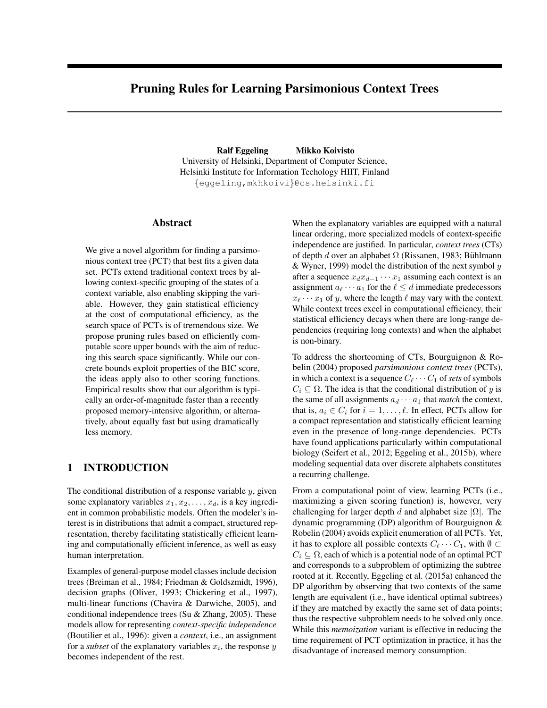# Pruning Rules for Learning Parsimonious Context Trees

Ralf Eggeling Mikko Koivisto University of Helsinki, Department of Computer Science, Helsinki Institute for Information Techology HIIT, Finland {eggeling,mkhkoivi}@cs.helsinki.fi

#### Abstract

We give a novel algorithm for finding a parsimonious context tree (PCT) that best fits a given data set. PCTs extend traditional context trees by allowing context-specific grouping of the states of a context variable, also enabling skipping the variable. However, they gain statistical efficiency at the cost of computational efficiency, as the search space of PCTs is of tremendous size. We propose pruning rules based on efficiently computable score upper bounds with the aim of reducing this search space significantly. While our concrete bounds exploit properties of the BIC score, the ideas apply also to other scoring functions. Empirical results show that our algorithm is typically an order-of-magnitude faster than a recently proposed memory-intensive algorithm, or alternatively, about equally fast but using dramatically less memory.

## 1 INTRODUCTION

The conditional distribution of a response variable  $y$ , given some explanatory variables  $x_1, x_2, \ldots, x_d$ , is a key ingredient in common probabilistic models. Often the modeler's interest is in distributions that admit a compact, structured representation, thereby facilitating statistically efficient learning and computationally efficient inference, as well as easy human interpretation.

Examples of general-purpose model classes include decision trees (Breiman et al., 1984; Friedman & Goldszmidt, 1996), decision graphs (Oliver, 1993; Chickering et al., 1997), multi-linear functions (Chavira & Darwiche, 2005), and conditional independence trees (Su & Zhang, 2005). These models allow for representing *context-specific independence* (Boutilier et al., 1996): given a *context*, i.e., an assignment for a *subset* of the explanatory variables  $x_i$ , the response  $y$ becomes independent of the rest.

When the explanatory variables are equipped with a natural linear ordering, more specialized models of context-specific independence are justified. In particular, *context trees* (CTs) of depth d over an alphabet  $\Omega$  (Rissanen, 1983; Bühlmann & Wyner, 1999) model the distribution of the next symbol  $y$ after a sequence  $x_d x_{d-1} \cdots x_1$  assuming each context is an assignment  $a_\ell \cdots a_1$  for the  $\ell \leq d$  immediate predecessors  $x_{\ell} \cdots x_1$  of y, where the length  $\ell$  may vary with the context. While context trees excel in computational efficiency, their statistical efficiency decays when there are long-range dependencies (requiring long contexts) and when the alphabet is non-binary.

To address the shortcoming of CTs, Bourguignon & Robelin (2004) proposed *parsimonious context trees* (PCTs), in which a context is a sequence  $C_{\ell} \cdots C_1$  of *sets* of symbols  $C_i \subseteq \Omega$ . The idea is that the conditional distribution of y is the same of all assignments  $a_d \cdots a_1$  that *match* the context, that is,  $a_i \in C_i$  for  $i = 1, \ldots, \ell$ . In effect, PCTs allow for a compact representation and statistically efficient learning even in the presence of long-range dependencies. PCTs have found applications particularly within computational biology (Seifert et al., 2012; Eggeling et al., 2015b), where modeling sequential data over discrete alphabets constitutes a recurring challenge.

From a computational point of view, learning PCTs (i.e., maximizing a given scoring function) is, however, very challenging for larger depth d and alphabet size  $|\Omega|$ . The dynamic programming (DP) algorithm of Bourguignon & Robelin (2004) avoids explicit enumeration of all PCTs. Yet, it has to explore all possible contexts  $C_{\ell} \cdots C_1$ , with  $\emptyset \subset$  $C_i \subseteq \Omega$ , each of which is a potential node of an optimal PCT and corresponds to a subproblem of optimizing the subtree rooted at it. Recently, Eggeling et al. (2015a) enhanced the DP algorithm by observing that two contexts of the same length are equivalent (i.e., have identical optimal subtrees) if they are matched by exactly the same set of data points; thus the respective subproblem needs to be solved only once. While this *memoization* variant is effective in reducing the time requirement of PCT optimization in practice, it has the disadvantage of increased memory consumption.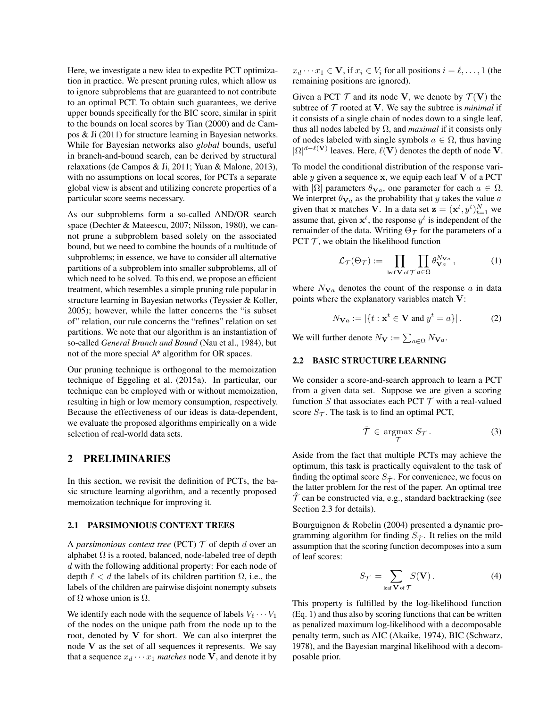Here, we investigate a new idea to expedite PCT optimization in practice. We present pruning rules, which allow us to ignore subproblems that are guaranteed to not contribute to an optimal PCT. To obtain such guarantees, we derive upper bounds specifically for the BIC score, similar in spirit to the bounds on local scores by Tian (2000) and de Campos & Ji (2011) for structure learning in Bayesian networks. While for Bayesian networks also *global* bounds, useful in branch-and-bound search, can be derived by structural relaxations (de Campos & Ji, 2011; Yuan & Malone, 2013), with no assumptions on local scores, for PCTs a separate global view is absent and utilizing concrete properties of a particular score seems necessary.

As our subproblems form a so-called AND/OR search space (Dechter & Mateescu, 2007; Nilsson, 1980), we cannot prune a subproblem based solely on the associated bound, but we need to combine the bounds of a multitude of subproblems; in essence, we have to consider all alternative partitions of a subproblem into smaller subproblems, all of which need to be solved. To this end, we propose an efficient treatment, which resembles a simple pruning rule popular in structure learning in Bayesian networks (Teyssier & Koller, 2005); however, while the latter concerns the "is subset of" relation, our rule concerns the "refines" relation on set partitions. We note that our algorithm is an instantiation of so-called *General Branch and Bound* (Nau et al., 1984), but not of the more special A\* algorithm for OR spaces.

Our pruning technique is orthogonal to the memoization technique of Eggeling et al. (2015a). In particular, our technique can be employed with or without memoization, resulting in high or low memory consumption, respectively. Because the effectiveness of our ideas is data-dependent, we evaluate the proposed algorithms empirically on a wide selection of real-world data sets.

### 2 PRELIMINARIES

In this section, we revisit the definition of PCTs, the basic structure learning algorithm, and a recently proposed memoization technique for improving it.

### 2.1 PARSIMONIOUS CONTEXT TREES

A *parsimonious context tree* (PCT)  $T$  of depth d over an alphabet  $\Omega$  is a rooted, balanced, node-labeled tree of depth d with the following additional property: For each node of depth  $\ell < d$  the labels of its children partition  $\Omega$ , i.e., the labels of the children are pairwise disjoint nonempty subsets of  $\Omega$  whose union is  $\Omega$ .

We identify each node with the sequence of labels  $V_{\ell} \cdots V_1$ of the nodes on the unique path from the node up to the root, denoted by  $V$  for short. We can also interpret the node V as the set of all sequences it represents. We say that a sequence  $x_d \cdots x_1$  *matches* node V, and denote it by

 $x_d \cdots x_1 \in \mathbf{V}$ , if  $x_i \in V_i$  for all positions  $i = \ell, \ldots, 1$  (the remaining positions are ignored).

Given a PCT  $\mathcal T$  and its node V, we denote by  $\mathcal T(\mathbf V)$  the subtree of  $T$  rooted at V. We say the subtree is *minimal* if it consists of a single chain of nodes down to a single leaf, thus all nodes labeled by Ω, and *maximal* if it consists only of nodes labeled with single symbols  $a \in \Omega$ , thus having  $|\Omega|^{d-\ell(\mathbf{V})}$  leaves. Here,  $\ell(\mathbf{V})$  denotes the depth of node V.

To model the conditional distribution of the response variable  $y$  given a sequence  $x$ , we equip each leaf  $V$  of a PCT with  $|\Omega|$  parameters  $\theta_{Va}$ , one parameter for each  $a \in \Omega$ . We interpret  $\theta_{\mathbf{V}a}$  as the probability that y takes the value a given that x matches V. In a data set  $\mathbf{z} = (\mathbf{x}^t, y^t)_{t=1}^N$  we assume that, given  $x^t$ , the response  $y^t$  is independent of the remainder of the data. Writing  $\Theta_{\mathcal{T}}$  for the parameters of a PCT  $T$ , we obtain the likelihood function

$$
\mathcal{L}_{\mathcal{T}}(\Theta_{\mathcal{T}}) := \prod_{\text{leaf } \mathbf{V} \text{ of } \mathcal{T}} \prod_{a \in \Omega} \theta_{\mathbf{V}a}^{N_{\mathbf{V}a}}, \qquad (1)
$$

where  $N_{\mathbf{V}a}$  denotes the count of the response a in data points where the explanatory variables match V:

$$
N_{\mathbf{V}a} := |\{t : \mathbf{x}^t \in \mathbf{V} \text{ and } y^t = a\}|. \tag{2}
$$

We will further denote  $N_{\mathbf{V}} := \sum_{a \in \Omega} N_{\mathbf{V}a}$ .

#### 2.2 BASIC STRUCTURE LEARNING

We consider a score-and-search approach to learn a PCT from a given data set. Suppose we are given a scoring function  $S$  that associates each PCT  $T$  with a real-valued score  $S_{\mathcal{T}}$ . The task is to find an optimal PCT,

$$
\hat{\mathcal{T}} \in \underset{\mathcal{T}}{\operatorname{argmax}} \ S_{\mathcal{T}}. \tag{3}
$$

Aside from the fact that multiple PCTs may achieve the optimum, this task is practically equivalent to the task of finding the optimal score  $S_{\hat{\tau}}$ . For convenience, we focus on the latter problem for the rest of the paper. An optimal tree  $\hat{\tau}$  can be constructed via, e.g., standard backtracking (see Section 2.3 for details).

Bourguignon & Robelin (2004) presented a dynamic programming algorithm for finding  $S_{\hat{\tau}}$ . It relies on the mild assumption that the scoring function decomposes into a sum of leaf scores:

$$
S_{\mathcal{T}} = \sum_{\text{leaf } \mathbf{V} \text{ of } \mathcal{T}} S(\mathbf{V}). \tag{4}
$$

This property is fulfilled by the log-likelihood function (Eq. 1) and thus also by scoring functions that can be written as penalized maximum log-likelihood with a decomposable penalty term, such as AIC (Akaike, 1974), BIC (Schwarz, 1978), and the Bayesian marginal likelihood with a decomposable prior.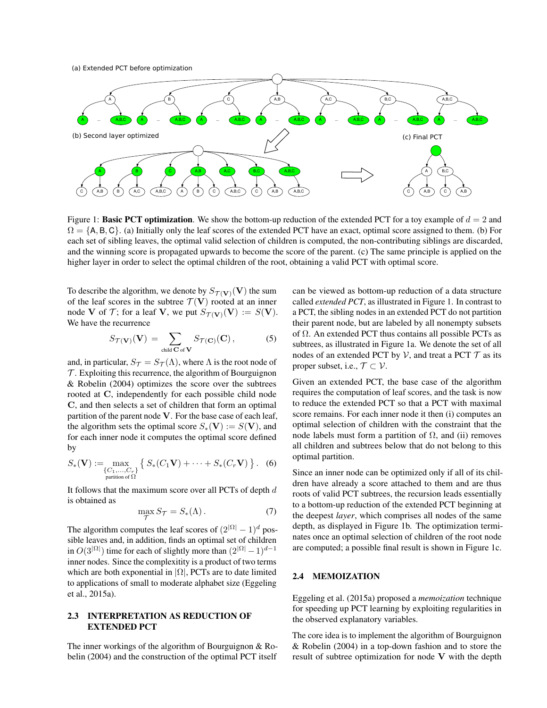(a) Extended PCT before optimization



Figure 1: Basic PCT optimization. We show the bottom-up reduction of the extended PCT for a toy example of  $d = 2$  and  $\Omega = \{A, B, C\}$ . (a) Initially only the leaf scores of the extended PCT have an exact, optimal score assigned to them. (b) For each set of sibling leaves, the optimal valid selection of children is computed, the non-contributing siblings are discarded, and the winning score is propagated upwards to become the score of the parent. (c) The same principle is applied on the higher layer in order to select the optimal children of the root, obtaining a valid PCT with optimal score.

To describe the algorithm, we denote by  $S_{\mathcal{T}(\mathbf{V})}(\mathbf{V})$  the sum of the leaf scores in the subtree  $\mathcal{T}(\mathbf{V})$  rooted at an inner node V of T; for a leaf V, we put  $S_{\mathcal{T}(\mathbf{V})}(\mathbf{V}) := S(\mathbf{V}).$ We have the recurrence

$$
S_{\mathcal{T}(\mathbf{V})}(\mathbf{V}) = \sum_{\text{child } \mathbf{C} \text{ of } \mathbf{V}} S_{\mathcal{T}(\mathbf{C})}(\mathbf{C}), \tag{5}
$$

and, in particular,  $S_{\mathcal{T}} = S_{\mathcal{T}}(\Lambda)$ , where  $\Lambda$  is the root node of  $\mathcal T$ . Exploiting this recurrence, the algorithm of Bourguignon & Robelin (2004) optimizes the score over the subtrees rooted at C, independently for each possible child node C, and then selects a set of children that form an optimal partition of the parent node V. For the base case of each leaf, the algorithm sets the optimal score  $S_*(V) := S(V)$ , and for each inner node it computes the optimal score defined by

$$
S_*(\mathbf{V}) := \max_{\substack{\{C_1,\ldots,C_r\}\\ \text{partition of } \Omega}} \left\{ S_*(C_1\mathbf{V}) + \cdots + S_*(C_r\mathbf{V}) \right\}. \tag{6}
$$

It follows that the maximum score over all PCTs of depth  $d$ is obtained as

$$
\max_{\mathcal{T}} S_{\mathcal{T}} = S_*(\Lambda). \tag{7}
$$

The algorithm computes the leaf scores of  $(2^{|\Omega|} - 1)^d$  possible leaves and, in addition, finds an optimal set of children in  $O(3^{|\Omega|})$  time for each of slightly more than  $(2^{|\Omega|} - 1)^{d-1}$ inner nodes. Since the complexitity is a product of two terms which are both exponential in  $|\Omega|$ , PCTs are to date limited to applications of small to moderate alphabet size (Eggeling et al., 2015a).

### 2.3 INTERPRETATION AS REDUCTION OF EXTENDED PCT

The inner workings of the algorithm of Bourguignon & Robelin (2004) and the construction of the optimal PCT itself

can be viewed as bottom-up reduction of a data structure called *extended PCT*, as illustrated in Figure 1. In contrast to a PCT, the sibling nodes in an extended PCT do not partition their parent node, but are labeled by all nonempty subsets of  $\Omega$ . An extended PCT thus contains all possible PCTs as subtrees, as illustrated in Figure 1a. We denote the set of all nodes of an extended PCT by  $V$ , and treat a PCT  $T$  as its proper subset, i.e.,  $\mathcal{T} \subset \mathcal{V}$ .

Given an extended PCT, the base case of the algorithm requires the computation of leaf scores, and the task is now to reduce the extended PCT so that a PCT with maximal score remains. For each inner node it then (i) computes an optimal selection of children with the constraint that the node labels must form a partition of  $Ω$ , and (ii) removes all children and subtrees below that do not belong to this optimal partition.

Since an inner node can be optimized only if all of its children have already a score attached to them and are thus roots of valid PCT subtrees, the recursion leads essentially to a bottom-up reduction of the extended PCT beginning at the deepest *layer*, which comprises all nodes of the same depth, as displayed in Figure 1b. The optimization terminates once an optimal selection of children of the root node are computed; a possible final result is shown in Figure 1c.

## 2.4 MEMOIZATION

Eggeling et al. (2015a) proposed a *memoization* technique for speeding up PCT learning by exploiting regularities in the observed explanatory variables.

The core idea is to implement the algorithm of Bourguignon & Robelin (2004) in a top-down fashion and to store the result of subtree optimization for node V with the depth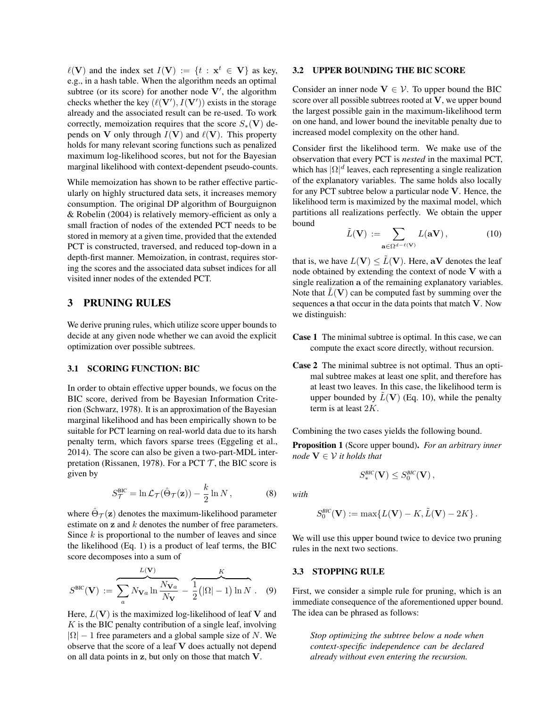$\ell(V)$  and the index set  $I(V) := \{t : x^t \in V\}$  as key, e.g., in a hash table. When the algorithm needs an optimal subtree (or its score) for another node  $V'$ , the algorithm checks whether the key  $(\ell(V'), I(V'))$  exists in the storage already and the associated result can be re-used. To work correctly, memoization requires that the score  $S_*(V)$  depends on V only through  $I(V)$  and  $\ell(V)$ . This property holds for many relevant scoring functions such as penalized maximum log-likelihood scores, but not for the Bayesian marginal likelihood with context-dependent pseudo-counts.

While memoization has shown to be rather effective particularly on highly structured data sets, it increases memory consumption. The original DP algorithm of Bourguignon & Robelin (2004) is relatively memory-efficient as only a small fraction of nodes of the extended PCT needs to be stored in memory at a given time, provided that the extended PCT is constructed, traversed, and reduced top-down in a depth-first manner. Memoization, in contrast, requires storing the scores and the associated data subset indices for all visited inner nodes of the extended PCT.

## 3 PRUNING RULES

We derive pruning rules, which utilize score upper bounds to decide at any given node whether we can avoid the explicit optimization over possible subtrees.

### 3.1 SCORING FUNCTION: BIC

In order to obtain effective upper bounds, we focus on the BIC score, derived from be Bayesian Information Criterion (Schwarz, 1978). It is an approximation of the Bayesian marginal likelihood and has been empirically shown to be suitable for PCT learning on real-world data due to its harsh penalty term, which favors sparse trees (Eggeling et al., 2014). The score can also be given a two-part-MDL interpretation (Rissanen, 1978). For a PCT  $\mathcal T$ , the BIC score is given by

$$
S_{\mathcal{T}}^{\text{BIC}} = \ln \mathcal{L}_{\mathcal{T}}(\hat{\Theta}_{\mathcal{T}}(\mathbf{z})) - \frac{k}{2} \ln N , \qquad (8)
$$

where  $\hat{\Theta}_{\mathcal{T}}(\mathbf{z})$  denotes the maximum-likelihood parameter estimate on z and k denotes the number of free parameters. Since  $k$  is proportional to the number of leaves and since the likelihood (Eq. 1) is a product of leaf terms, the BIC score decomposes into a sum of

$$
S^{\text{BIC}}(\mathbf{V}) := \overbrace{\sum_{a} N_{\mathbf{V}a} \ln \frac{N_{\mathbf{V}a}}{N_{\mathbf{V}}}}^{L(\mathbf{V})} - \frac{K}{2} (|\Omega| - 1) \ln N . \quad (9)
$$

Here,  $L(V)$  is the maximized log-likelihood of leaf V and  $K$  is the BIC penalty contribution of a single leaf, involving  $|\Omega| - 1$  free parameters and a global sample size of N. We observe that the score of a leaf V does actually not depend on all data points in z, but only on those that match V.

#### 3.2 UPPER BOUNDING THE BIC SCORE

Consider an inner node  $V \in V$ . To upper bound the BIC score over all possible subtrees rooted at V, we upper bound the largest possible gain in the maximum-likelihood term on one hand, and lower bound the inevitable penalty due to increased model complexity on the other hand.

Consider first the likelihood term. We make use of the observation that every PCT is *nested* in the maximal PCT, which has  $|\Omega|^d$  leaves, each representing a single realization of the explanatory variables. The same holds also locally for any PCT subtree below a particular node V. Hence, the likelihood term is maximized by the maximal model, which partitions all realizations perfectly. We obtain the upper bound

$$
\tilde{L}(\mathbf{V}) := \sum_{\mathbf{a} \in \Omega^{d-\ell(\mathbf{V})}} L(\mathbf{aV}), \tag{10}
$$

that is, we have  $L(V) \leq \tilde{L}(V)$ . Here, aV denotes the leaf node obtained by extending the context of node V with a single realization a of the remaining explanatory variables. Note that  $\tilde{L}(\mathbf{V})$  can be computed fast by summing over the sequences a that occur in the data points that match V. Now we distinguish:

- Case 1 The minimal subtree is optimal. In this case, we can compute the exact score directly, without recursion.
- Case 2 The minimal subtree is not optimal. Thus an optimal subtree makes at least one split, and therefore has at least two leaves. In this case, the likelihood term is upper bounded by  $\tilde{L}(\mathbf{V})$  (Eq. 10), while the penalty term is at least 2K.

Combining the two cases yields the following bound.

Proposition 1 (Score upper bound). *For an arbitrary inner node*  $V \in V$  *it holds that* 

$$
S_*^{\textit{BIC}}(\mathbf{V}) \leq S_0^{\textit{BIC}}(\mathbf{V}),
$$

*with*

$$
S_0^{\text{BIC}}(\mathbf{V}) := \max\{L(\mathbf{V}) - K, \tilde{L}(\mathbf{V}) - 2K\}.
$$

We will use this upper bound twice to device two pruning rules in the next two sections.

### 3.3 STOPPING RULE

First, we consider a simple rule for pruning, which is an immediate consequence of the aforementioned upper bound. The idea can be phrased as follows:

*Stop optimizing the subtree below a node when context-specific independence can be declared already without even entering the recursion.*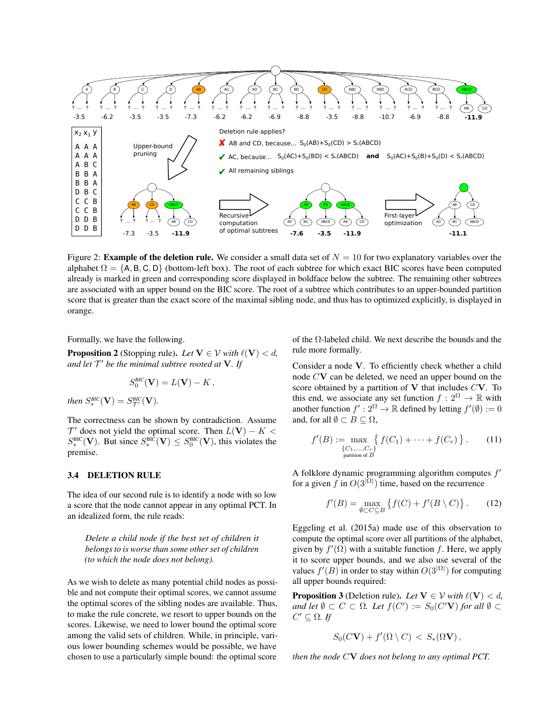

Figure 2: **Example of the deletion rule.** We consider a small data set of  $N = 10$  for two explanatory variables over the alphabet  $\Omega = \{A, B, C, D\}$  (bottom-left box). The root of each subtree for which exact BIC scores have been computed already is marked in green and corresponding score displayed in boldface below the subtree. The remaining other subtrees are associated with an upper bound on the BIC score. The root of a subtree which contributes to an upper-bounded partition score that is greater than the exact score of the maximal sibling node, and thus has to optimized explicitly, is displayed in orange.

Formally, we have the following.

**Proposition 2** (Stopping rule). Let  $V \in V$  *with*  $\ell(V) < d$ , *and let* T <sup>0</sup> *be the minimal subtree rooted at* V*. If*

$$
S_0^{BIC}(\mathbf{V}) = L(\mathbf{V}) - K,
$$

*then*  $S^{BIC}_{*}(\mathbf{V}) = S^{BIC}_{\mathcal{T}'}(\mathbf{V})$ *.* 

The correctness can be shown by contradiction. Assume  $\mathcal{T}'$  does not yield the optimal score. Then  $L(\mathbf{V}) - K <$  $S_*^{\text{BIC}}(\mathbf{V})$ . But since  $S_*^{\text{BIC}}(\mathbf{V}) \leq S_0^{\text{BIC}}(\mathbf{V})$ , this violates the premise.

#### 3.4 DELETION RULE

The idea of our second rule is to identify a node with so low a score that the node cannot appear in any optimal PCT. In an idealized form, the rule reads:

*Delete a child node if the best set of children it belongs to is worse than some other set of children (to which the node does not belong).*

As we wish to delete as many potential child nodes as possible and not compute their optimal scores, we cannot assume the optimal scores of the sibling nodes are available. Thus, to make the rule concrete, we resort to upper bounds on the scores. Likewise, we need to lower bound the optimal score among the valid sets of children. While, in principle, various lower bounding schemes would be possible, we have chosen to use a particularly simple bound: the optimal score

of the  $\Omega$ -labeled child. We next describe the bounds and the rule more formally.

Consider a node V. To efficiently check whether a child node CV can be deleted, we need an upper bound on the score obtained by a partition of  $V$  that includes  $CV$ . To this end, we associate any set function  $f: 2^{\Omega} \to \mathbb{R}$  with another function  $f' : 2^{\Omega} \to \mathbb{R}$  defined by letting  $f'(\emptyset) := 0$ and, for all  $\emptyset \subset B \subset \Omega$ ,

$$
f'(B) := \max_{\{C_1, \ldots, C_r\} \atop \text{partition of } B} \{ f(C_1) + \cdots + f(C_r) \}.
$$
 (11)

A folklore dynamic programming algorithm computes  $f'$ for a given f in  $O(3^{|\Omega|})$  time, based on the recurrence

$$
f'(B) = \max_{\emptyset \subset C \subseteq B} \left\{ f(C) + f'(B \setminus C) \right\}.
$$
 (12)

Eggeling et al. (2015a) made use of this observation to compute the optimal score over all partitions of the alphabet, given by  $f'(\Omega)$  with a suitable function f. Here, we apply it to score upper bounds, and we also use several of the values  $f'(B)$  in order to stay within  $O(3^{\vert \Omega \vert})$  for computing all upper bounds required:

**Proposition 3** (Deletion rule). Let  $V \in V$  *with*  $\ell(V) < d$ , *and let*  $\emptyset \subset C \subset \Omega$ *. Let*  $f(C') := S_0(C'V)$  *for all*  $\emptyset \subset$  $C' \subseteq \Omega$ . If

$$
S_0(C\mathbf{V}) + f'(\Omega \setminus C) < S_*(\Omega \mathbf{V}),
$$

*then the node* CV *does not belong to any optimal PCT.*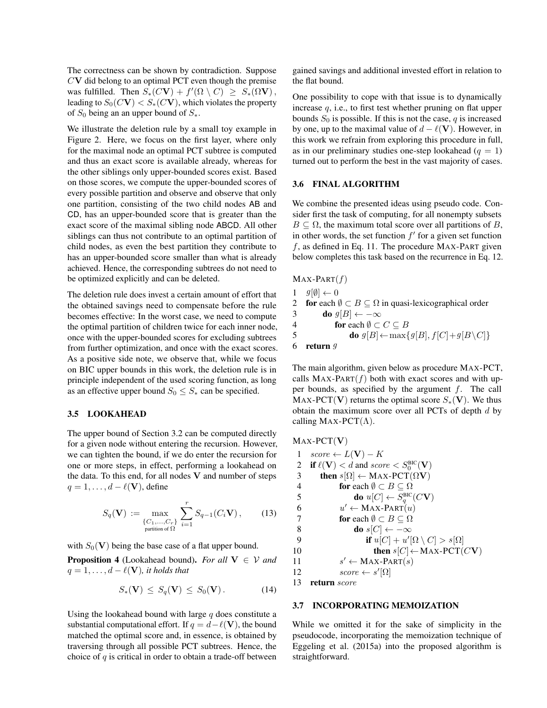The correctness can be shown by contradiction. Suppose  $CV$  did belong to an optimal PCT even though the premise was fulfilled. Then  $S_*(C\mathbf{V}) + f'(\Omega \setminus C) \geq S_*(\Omega \mathbf{V}),$ leading to  $S_0(CV) < S_*(CV)$ , which violates the property of  $S_0$  being an an upper bound of  $S_*$ .

We illustrate the deletion rule by a small toy example in Figure 2. Here, we focus on the first layer, where only for the maximal node an optimal PCT subtree is computed and thus an exact score is available already, whereas for the other siblings only upper-bounded scores exist. Based on those scores, we compute the upper-bounded scores of every possible partition and observe and observe that only one partition, consisting of the two child nodes AB and CD, has an upper-bounded score that is greater than the exact score of the maximal sibling node ABCD. All other siblings can thus not contribute to an optimal partition of child nodes, as even the best partition they contribute to has an upper-bounded score smaller than what is already achieved. Hence, the corresponding subtrees do not need to be optimized explicitly and can be deleted.

The deletion rule does invest a certain amount of effort that the obtained savings need to compensate before the rule becomes effective: In the worst case, we need to compute the optimal partition of children twice for each inner node, once with the upper-bounded scores for excluding subtrees from further optimization, and once with the exact scores. As a positive side note, we observe that, while we focus on BIC upper bounds in this work, the deletion rule is in principle independent of the used scoring function, as long as an effective upper bound  $S_0 \leq S_*$  can be specified.

### 3.5 LOOKAHEAD

The upper bound of Section 3.2 can be computed directly for a given node without entering the recursion. However, we can tighten the bound, if we do enter the recursion for one or more steps, in effect, performing a lookahead on the data. To this end, for all nodes  $V$  and number of steps  $q = 1, \ldots, d - \ell(\mathbf{V})$ , define

$$
S_q(\mathbf{V}) := \max_{\substack{\{C_1, \dots, C_r\} \\ \text{partition of } \Omega}} \sum_{i=1}^r S_{q-1}(C_i \mathbf{V}), \qquad (13)
$$

with  $S_0$ (V) being the base case of a flat upper bound.

**Proposition 4** (Lookahead bound). *For all*  $V \in V$  *and*  $q = 1, \ldots, d - \ell(\mathbf{V})$ *, it holds that* 

$$
S_*(\mathbf{V}) \leq S_q(\mathbf{V}) \leq S_0(\mathbf{V}). \tag{14}
$$

Using the lookahead bound with large  $q$  does constitute a substantial computational effort. If  $q = d - \ell(\mathbf{V})$ , the bound matched the optimal score and, in essence, is obtained by traversing through all possible PCT subtrees. Hence, the choice of  $q$  is critical in order to obtain a trade-off between gained savings and additional invested effort in relation to the flat bound.

One possibility to cope with that issue is to dynamically increase  $q$ , i.e., to first test whether pruning on flat upper bounds  $S_0$  is possible. If this is not the case, q is increased by one, up to the maximal value of  $d - \ell(\mathbf{V})$ . However, in this work we refrain from exploring this procedure in full, as in our preliminary studies one-step lookahead  $(q = 1)$ turned out to perform the best in the vast majority of cases.

#### 3.6 FINAL ALGORITHM

We combine the presented ideas using pseudo code. Consider first the task of computing, for all nonempty subsets  $B \subseteq \Omega$ , the maximum total score over all partitions of B, in other words, the set function  $f'$  for a given set function  $f$ , as defined in Eq. 11. The procedure MAX-PART given below completes this task based on the recurrence in Eq. 12.

```
MAX-PART(f)1 \quad g[\emptyset] \leftarrow 02 for each \emptyset \subset B \subseteq \Omega in quasi-lexicographical order
3 do g[B] \leftarrow -\infty4 for each \emptyset \subset C \subseteq B5 do g[B] \leftarrow \max\{g[B], f[C] + g[B \setminus C]\}6 return g
```
The main algorithm, given below as procedure MAX-PCT, calls  $MAX-PART(f)$  both with exact scores and with upper bounds, as specified by the argument  $f$ . The call MAX-PCT(V) returns the optimal score  $S_*(V)$ . We thus obtain the maximum score over all PCTs of depth  $d$  by calling MAX-PCT( $\Lambda$ ).

MAX-PCT(V) 1  $score \leftarrow L(V) - K$ 2 if  $\ell(\mathbf{V}) < d$  and score  $\langle S_0^{\text{BIC}}(\mathbf{V}) \rangle$ 3 then  $s[\Omega] \leftarrow \text{MAX-PCT}(\Omega V)$ 4 for each  $\emptyset \subset B \subseteq \Omega$ 5 **do**  $u[C] \leftarrow S_q^{\text{BIC}}(C\mathbf{V})$ 6  $u' \leftarrow \text{MAX-PART}(u)$ 7 **for** each  $\emptyset \subset B \subset \Omega$ 8 do s[C]  $\leftarrow -\infty$ 9 if  $u[C] + u'[\Omega \setminus C] > s[\Omega]$ 10 **then**  $s[C] \leftarrow \text{MAX-PCT}(C\textbf{V})$  $11$  $s' \leftarrow \text{MAX-PART}(s)$ 12  $score \leftarrow s'[\Omega]$ 13 return score

### 3.7 INCORPORATING MEMOIZATION

While we omitted it for the sake of simplicity in the pseudocode, incorporating the memoization technique of Eggeling et al. (2015a) into the proposed algorithm is straightforward.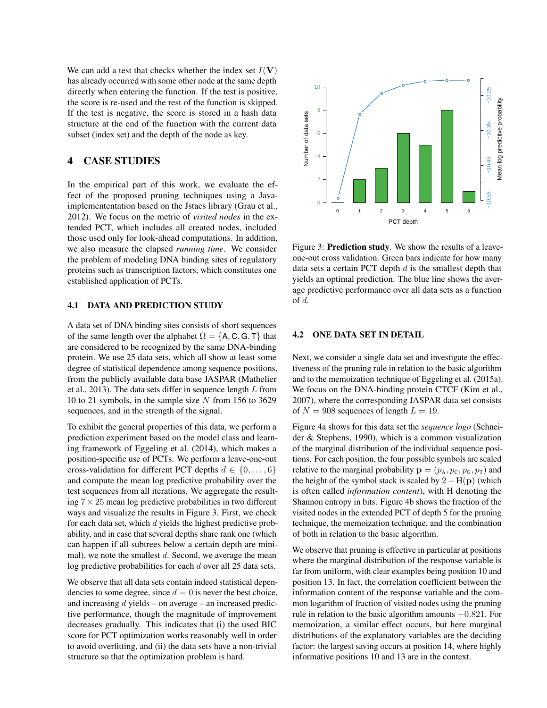We can add a test that checks whether the index set  $I(V)$ has already occurred with some other node at the same depth directly when entering the function. If the test is positive, the score is re-used and the rest of the function is skipped. If the test is negative, the score is stored in a hash data structure at the end of the function with the current data subset (index set) and the depth of the node as key.

## 4 CASE STUDIES

In the empirical part of this work, we evaluate the effect of the proposed pruning techniques using a Javaimplemententation based on the Jstacs library (Grau et al., 2012). We focus on the metric of *visited nodes* in the extended PCT, which includes all created nodes, included those used only for look-ahead computations. In addition, we also measure the elapsed *running time*. We consider the problem of modeling DNA binding sites of regulatory proteins such as transcription factors, which constitutes one established application of PCTs.

### 4.1 DATA AND PREDICTION STUDY

A data set of DNA binding sites consists of short sequences of the same length over the alphabet  $\Omega = \{A, C, G, T\}$  that are considered to be recognized by the same DNA-binding protein. We use 25 data sets, which all show at least some degree of statistical dependence among sequence positions, from the publicly available data base JASPAR (Mathelier et al., 2013). The data sets differ in sequence length  $L$  from 10 to 21 symbols, in the sample size  $N$  from 156 to 3629 sequences, and in the strength of the signal.

To exhibit the general properties of this data, we perform a prediction experiment based on the model class and learning framework of Eggeling et al. (2014), which makes a position-specific use of PCTs. We perform a leave-one-out cross-validation for different PCT depths  $d \in \{0, \ldots, 6\}$ and compute the mean log predictive probability over the test sequences from all iterations. We aggregate the resulting  $7 \times 25$  mean log predictive probabilities in two different ways and visualize the results in Figure 3. First, we check for each data set, which  $d$  yields the highest predictive probability, and in case that several depths share rank one (which can happen if all subtrees below a certain depth are minimal), we note the smallest  $d$ . Second, we average the mean log predictive probabilities for each d over all 25 data sets. 2012). We focal on the method of visited modes in the ex-<br>
we also modes to the optimizations. In addition, the securities of regards: **Problem is the optimization** in addition, the optimization problem is the optimizatio

We observe that all data sets contain indeed statistical dependencies to some degree, since  $d = 0$  is never the best choice, and increasing  $d$  yields – on average – an increased predictive performance, though the magnitude of improvement decreases gradually. This indicates that (i) the used BIC score for PCT optimization works reasonably well in order to avoid overfitting, and (ii) the data sets have a non-trivial



Figure 3: **Prediction study**. We show the results of a leaveone-out cross validation. Green bars indicate for how many data sets a certain PCT depth  $d$  is the smallest depth that yields an optimal prediction. The blue line shows the average predictive performance over all data sets as a function of d.

#### 4.2 ONE DATA SET IN DETAIL

Next, we consider a single data set and investigate the effectiveness of the pruning rule in relation to the basic algorithm and to the memoization technique of Eggeling et al. (2015a). We focus on the DNA-binding protein CTCF (Kim et al., 2007), where the corresponding JASPAR data set consists of  $N = 908$  sequences of length  $L = 19$ .

Figure 4a shows for this data set the *sequence logo* (Schneider & Stephens, 1990), which is a common visualization of the marginal distribution of the individual sequence positions. For each position, the four possible symbols are scaled relative to the marginal probability  $\mathbf{p} = (p_A, p_C, p_{G}, p_{T})$  and the height of the symbol stack is scaled by  $2 - H(p)$  (which is often called *information content*), with H denoting the Shannon entropy in bits. Figure 4b shows the fraction of the visited nodes in the extended PCT of depth 5 for the pruning technique, the memoization technique, and the combination of both in relation to the basic algorithm.

We observe that pruning is effective in particular at positions where the marginal distribution of the response variable is far from uniform, with clear examples being position 10 and position 13. In fact, the correlation coefficient between the information content of the response variable and the common logarithm of fraction of visited nodes using the pruning rule in relation to the basic algorithm amounts −0.821. For memoization, a similar effect occurs, but here marginal distributions of the explanatory variables are the deciding factor: the largest saving occurs at position 14, where highly informative positions 10 and 13 are in the context.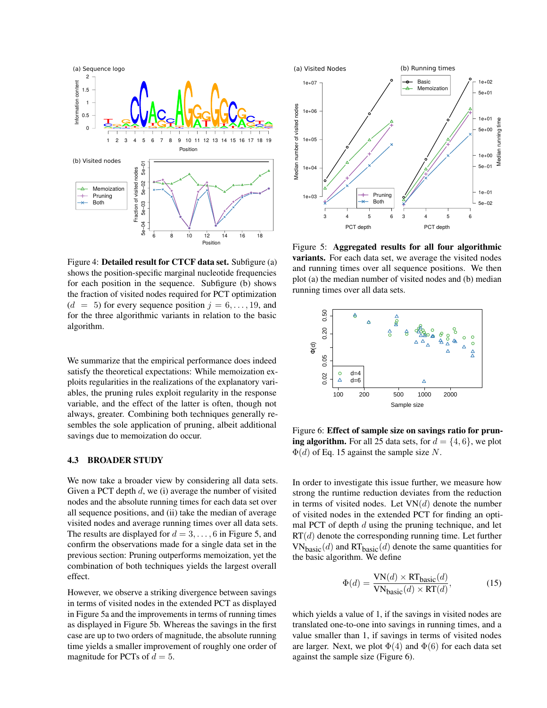

Figure 4: Detailed result for CTCF data set. Subfigure (a) shows the position-specific marginal nucleotide frequencies for each position in the sequence. Subfigure (b) shows the fraction of visited nodes required for PCT optimization  $(d = 5)$  for every sequence position  $j = 6, \ldots, 19$ , and for the three algorithmic variants in relation to the basic algorithm.

We summarize that the empirical performance does indeed satisfy the theoretical expectations: While memoization exploits regularities in the realizations of the explanatory variables, the pruning rules exploit regularity in the response variable, and the effect of the latter is often, though not always, greater. Combining both techniques generally resembles the sole application of pruning, albeit additional savings due to memoization do occur.

#### 4.3 BROADER STUDY

We now take a broader view by considering all data sets. Given a PCT depth  $d$ , we (i) average the number of visited nodes and the absolute running times for each data set over all sequence positions, and (ii) take the median of average visited nodes and average running times over all data sets. The results are displayed for  $d = 3, \ldots, 6$  in Figure 5, and confirm the observations made for a single data set in the previous section: Pruning outperforms memoization, yet the combination of both techniques yields the largest overall effect.

However, we observe a striking divergence between savings in terms of visited nodes in the extended PCT as displayed in Figure 5a and the improvements in terms of running times as displayed in Figure 5b. Whereas the savings in the first case are up to two orders of magnitude, the absolute running time yields a smaller improvement of roughly one order of magnitude for PCTs of  $d = 5$ .



Figure 5: Aggregated results for all four algorithmic variants. For each data set, we average the visited nodes and running times over all sequence positions. We then plot (a) the median number of visited nodes and (b) median running times over all data sets.



Figure 6: Effect of sample size on savings ratio for pruning algorithm. For all 25 data sets, for  $d = \{4, 6\}$ , we plot  $\Phi(d)$  of Eq. 15 against the sample size N.

In order to investigate this issue further, we measure how strong the runtime reduction deviates from the reduction in terms of visited nodes. Let  $VN(d)$  denote the number of visited nodes in the extended PCT for finding an optimal PCT of depth  $d$  using the pruning technique, and let  $RT(d)$  denote the corresponding running time. Let further  $VN_{\text{basic}}(d)$  and  $RT_{\text{basic}}(d)$  denote the same quantities for the basic algorithm. We define

$$
\Phi(d) = \frac{\text{VN}(d) \times \text{RT}_{\text{basic}}(d)}{\text{VN}_{\text{basic}}(d) \times \text{RT}(d)},\tag{15}
$$

which yields a value of 1, if the savings in visited nodes are translated one-to-one into savings in running times, and a value smaller than 1, if savings in terms of visited nodes are larger. Next, we plot  $\Phi(4)$  and  $\Phi(6)$  for each data set against the sample size (Figure 6).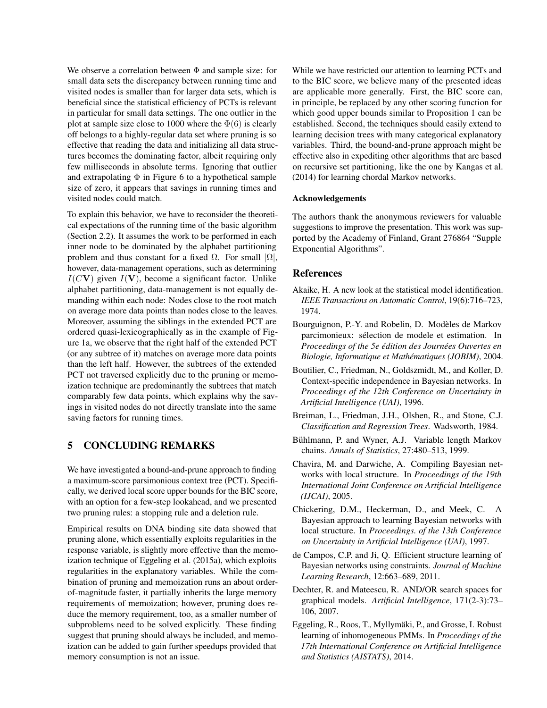We observe a correlation between  $\Phi$  and sample size: for small data sets the discrepancy between running time and visited nodes is smaller than for larger data sets, which is beneficial since the statistical efficiency of PCTs is relevant in particular for small data settings. The one outlier in the plot at sample size close to 1000 where the  $\Phi(6)$  is clearly off belongs to a highly-regular data set where pruning is so effective that reading the data and initializing all data structures becomes the dominating factor, albeit requiring only few milliseconds in absolute terms. Ignoring that outlier and extrapolating  $\Phi$  in Figure 6 to a hypothetical sample size of zero, it appears that savings in running times and visited nodes could match.

To explain this behavior, we have to reconsider the theoretical expectations of the running time of the basic algorithm (Section 2.2). It assumes the work to be performed in each inner node to be dominated by the alphabet partitioning problem and thus constant for a fixed  $\Omega$ . For small  $|\Omega|$ , however, data-management operations, such as determining  $I(CV)$  given  $I(V)$ , become a significant factor. Unlike alphabet partitioning, data-management is not equally demanding within each node: Nodes close to the root match on average more data points than nodes close to the leaves. Moreover, assuming the siblings in the extended PCT are ordered quasi-lexicographically as in the example of Figure 1a, we observe that the right half of the extended PCT (or any subtree of it) matches on average more data points than the left half. However, the subtrees of the extended PCT not traversed explicitly due to the pruning or memoization technique are predominantly the subtrees that match comparably few data points, which explains why the savings in visited nodes do not directly translate into the same saving factors for running times.

## 5 CONCLUDING REMARKS

We have investigated a bound-and-prune approach to finding a maximum-score parsimonious context tree (PCT). Specifically, we derived local score upper bounds for the BIC score, with an option for a few-step lookahead, and we presented two pruning rules: a stopping rule and a deletion rule.

Empirical results on DNA binding site data showed that pruning alone, which essentially exploits regularities in the response variable, is slightly more effective than the memoization technique of Eggeling et al. (2015a), which exploits regularities in the explanatory variables. While the combination of pruning and memoization runs an about orderof-magnitude faster, it partially inherits the large memory requirements of memoization; however, pruning does reduce the memory requirement, too, as a smaller number of subproblems need to be solved explicitly. These finding suggest that pruning should always be included, and memoization can be added to gain further speedups provided that memory consumption is not an issue.

While we have restricted our attention to learning PCTs and to the BIC score, we believe many of the presented ideas are applicable more generally. First, the BIC score can, in principle, be replaced by any other scoring function for which good upper bounds similar to Proposition 1 can be established. Second, the techniques should easily extend to learning decision trees with many categorical explanatory variables. Third, the bound-and-prune approach might be effective also in expediting other algorithms that are based on recursive set partitioning, like the one by Kangas et al. (2014) for learning chordal Markov networks.

#### Acknowledgements

The authors thank the anonymous reviewers for valuable suggestions to improve the presentation. This work was supported by the Academy of Finland, Grant 276864 "Supple Exponential Algorithms".

## References

- Akaike, H. A new look at the statistical model identification. *IEEE Transactions on Automatic Control*, 19(6):716–723, 1974.
- Bourguignon, P.-Y. and Robelin, D. Modeles de Markov ` parcimonieux: selection de modele et estimation. In ´ *Proceedings of the 5e édition des Journées Ouvertes en Biologie, Informatique et Mathematiques (JOBIM) ´* , 2004.
- Boutilier, C., Friedman, N., Goldszmidt, M., and Koller, D. Context-specific independence in Bayesian networks. In *Proceedings of the 12th Conference on Uncertainty in Artificial Intelligence (UAI)*, 1996.
- Breiman, L., Friedman, J.H., Olshen, R., and Stone, C.J. *Classification and Regression Trees*. Wadsworth, 1984.
- Bühlmann, P. and Wyner, A.J. Variable length Markov chains. *Annals of Statistics*, 27:480–513, 1999.
- Chavira, M. and Darwiche, A. Compiling Bayesian networks with local structure. In *Proceedings of the 19th International Joint Conference on Artificial Intelligence (IJCAI)*, 2005.
- Chickering, D.M., Heckerman, D., and Meek, C. A Bayesian approach to learning Bayesian networks with local structure. In *Proceedings. of the 13th Conference on Uncertainty in Artificial Intelligence (UAI)*, 1997.
- de Campos, C.P. and Ji, Q. Efficient structure learning of Bayesian networks using constraints. *Journal of Machine Learning Research*, 12:663–689, 2011.
- Dechter, R. and Mateescu, R. AND/OR search spaces for graphical models. *Artificial Intelligence*, 171(2-3):73– 106, 2007.
- Eggeling, R., Roos, T., Myllymäki, P., and Grosse, I. Robust learning of inhomogeneous PMMs. In *Proceedings of the 17th International Conference on Artificial Intelligence and Statistics (AISTATS)*, 2014.